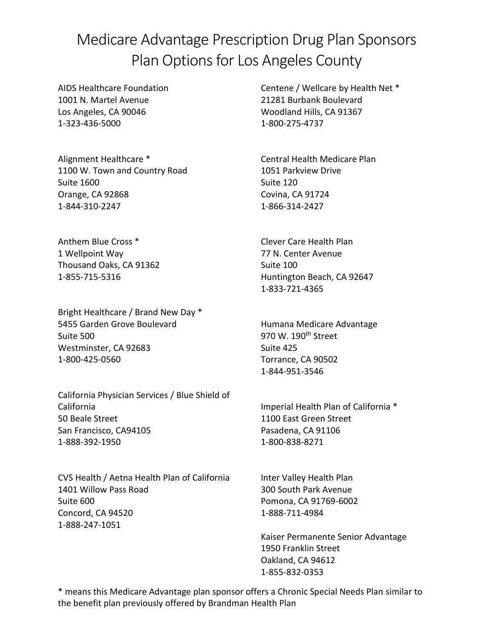## Medicare Advantage Prescription Drug Plan Sponsors Plan Options for Los Angeles County

AIDS Healthcare Foundation 1001 N. Martel Avenue Los Angeles, CA 90046 1-323-436-5000

Alignment Healthcare \* 1100 W. Town and Country Road Suite 1600 Orange, CA 92868 1-844-310-2247

Anthem Blue Cross \* 1 Wellpoint Way Thousand Oaks, CA 91362 1-855-715-5316

Bright Healthcare / Brand New Day \* 5455 Garden Grove Boulevard Suite 500 Westminster, CA 92683 1-800-425-0560

California Physician Services / Blue Shield of California 50 Beale Street San Francisco, CA94105 1-888-392-1950

CVS Health / Aetna Health Plan of California 1401 Willow Pass Road Suite 600 Concord, CA 94520 1-888-247-1051

Centene / Wellcare by Health Net \* 21281 Burbank Boulevard Woodland Hills, CA 91367 1-800-275-4737

Central Health Medicare Plan 1051 Parkview Drive Suite 120 Covina, CA 91724 1-866-314-2427

Clever Care Health Plan 77 N. Center Avenue Suite 100 Huntington Beach, CA 92647 1-833-721-4365

Humana Medicare Advantage 970 W. 190<sup>th</sup> Street Suite 425 Torrance, CA 90502 1-844-951-3546

Imperial Health Plan of California \* 1100 East Green Street Pasadena, CA 91106 1-800-838-8271

Inter Valley Health Plan 300 South Park Avenue Pomona, CA 91769-6002 1-888-711-4984

Kaiser Permanente Senior Advantage 1950 Franklin Street Oakland, CA 94612 1-855-832-0353

\* means this Medicare Advantage plan sponsor offers a Chronic Special Needs Plan similar to the benefit plan previously offered by Brandman Health Plan